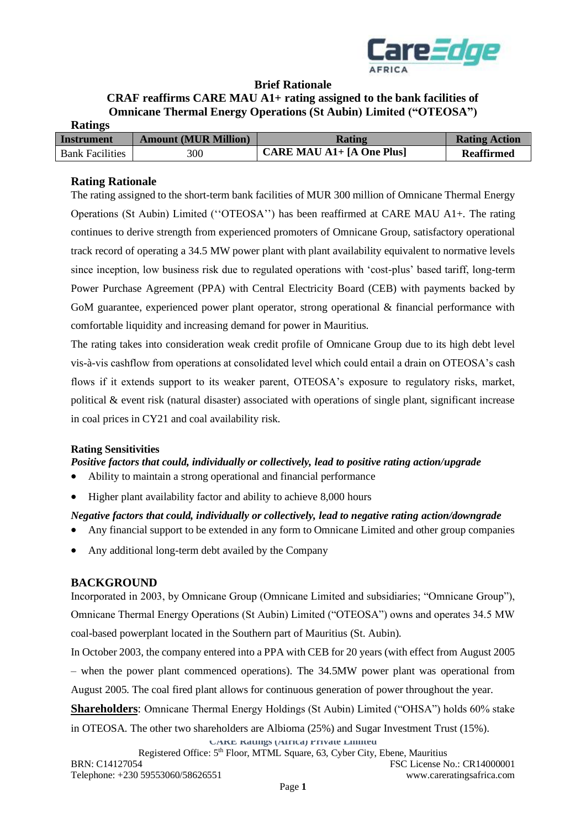

### **Brief Rationale**

#### **CRAF reaffirms CARE MAU A1+ rating assigned to the bank facilities of Omnicane Thermal Energy Operations (St Aubin) Limited ("OTEOSA") Ratings**

| Katings                |                             |                                            |                      |
|------------------------|-----------------------------|--------------------------------------------|----------------------|
| Instrument             | <b>Amount (MUR Million)</b> | Rating                                     | <b>Rating Action</b> |
| <b>Bank Facilities</b> | 300                         | <b>CARE MAU A1+</b> $[A \text{ One Plus}]$ | <b>Reaffirmed</b>    |

## **Rating Rationale**

The rating assigned to the short-term bank facilities of MUR 300 million of Omnicane Thermal Energy Operations (St Aubin) Limited (''OTEOSA'') has been reaffirmed at CARE MAU A1+. The rating continues to derive strength from experienced promoters of Omnicane Group, satisfactory operational track record of operating a 34.5 MW power plant with plant availability equivalent to normative levels since inception, low business risk due to regulated operations with 'cost-plus' based tariff, long-term Power Purchase Agreement (PPA) with Central Electricity Board (CEB) with payments backed by GoM guarantee, experienced power plant operator, strong operational & financial performance with comfortable liquidity and increasing demand for power in Mauritius.

The rating takes into consideration weak credit profile of Omnicane Group due to its high debt level vis-à-vis cashflow from operations at consolidated level which could entail a drain on OTEOSA's cash flows if it extends support to its weaker parent, OTEOSA's exposure to regulatory risks, market, political & event risk (natural disaster) associated with operations of single plant, significant increase in coal prices in CY21 and coal availability risk.

### **Rating Sensitivities**

*Positive factors that could, individually or collectively, lead to positive rating action/upgrade*

- Ability to maintain a strong operational and financial performance
- Higher plant availability factor and ability to achieve 8,000 hours

## *Negative factors that could, individually or collectively, lead to negative rating action/downgrade*

- Any financial support to be extended in any form to Omnicane Limited and other group companies
- Any additional long-term debt availed by the Company

## **BACKGROUND**

Incorporated in 2003, by Omnicane Group (Omnicane Limited and subsidiaries; "Omnicane Group"), Omnicane Thermal Energy Operations (St Aubin) Limited ("OTEOSA") owns and operates 34.5 MW coal-based powerplant located in the Southern part of Mauritius (St. Aubin).

In October 2003, the company entered into a PPA with CEB for 20 years (with effect from August 2005 – when the power plant commenced operations). The 34.5MW power plant was operational from August 2005. The coal fired plant allows for continuous generation of power throughout the year.

**Shareholders**: Omnicane Thermal Energy Holdings (St Aubin) Limited ("OHSA") holds 60% stake

in OTEOSA. The other two shareholders are Albioma (25%) and Sugar Investment Trust (15%).

**CARE Ratings (Africa) Private Limited** Registered Office: 5<sup>th</sup> Floor, MTML Square, 63, Cyber City, Ebene, Mauritius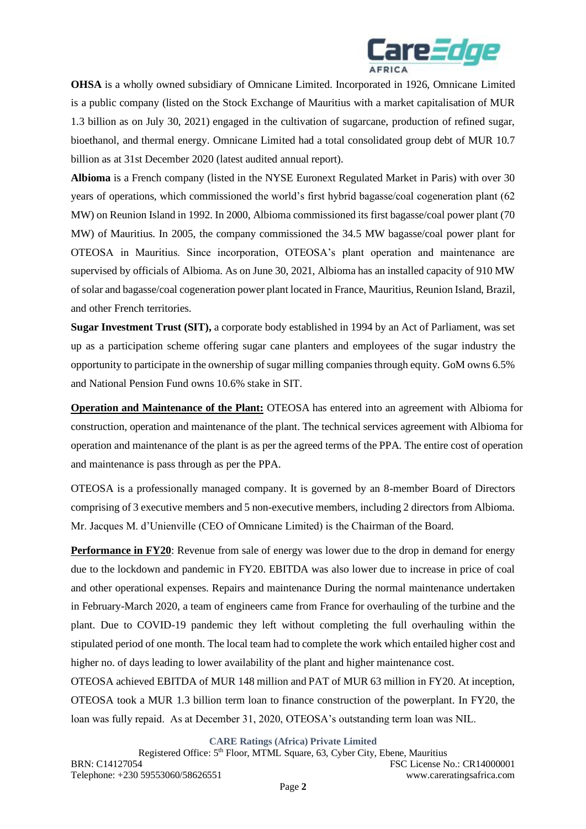

**OHSA** is a wholly owned subsidiary of Omnicane Limited. Incorporated in 1926, Omnicane Limited is a public company (listed on the Stock Exchange of Mauritius with a market capitalisation of MUR 1.3 billion as on July 30, 2021) engaged in the cultivation of sugarcane, production of refined sugar, bioethanol, and thermal energy. Omnicane Limited had a total consolidated group debt of MUR 10.7 billion as at 31st December 2020 (latest audited annual report).

**Albioma** is a French company (listed in the NYSE Euronext Regulated Market in Paris) with over 30 years of operations, which commissioned the world's first hybrid bagasse/coal cogeneration plant (62 MW) on Reunion Island in 1992. In 2000, Albioma commissioned its first bagasse/coal power plant (70 MW) of Mauritius. In 2005, the company commissioned the 34.5 MW bagasse/coal power plant for OTEOSA in Mauritius. Since incorporation, OTEOSA's plant operation and maintenance are supervised by officials of Albioma. As on June 30, 2021, Albioma has an installed capacity of 910 MW of solar and bagasse/coal cogeneration power plant located in France, Mauritius, Reunion Island, Brazil, and other French territories.

**Sugar Investment Trust (SIT),** a corporate body established in 1994 by an Act of Parliament, was set up as a participation scheme offering sugar cane planters and employees of the sugar industry the opportunity to participate in the ownership of sugar milling companies through equity. GoM owns 6.5% and National Pension Fund owns 10.6% stake in SIT.

**Operation and Maintenance of the Plant:** OTEOSA has entered into an agreement with Albioma for construction, operation and maintenance of the plant. The technical services agreement with Albioma for operation and maintenance of the plant is as per the agreed terms of the PPA. The entire cost of operation and maintenance is pass through as per the PPA.

OTEOSA is a professionally managed company. It is governed by an 8-member Board of Directors comprising of 3 executive members and 5 non-executive members, including 2 directors from Albioma. Mr. Jacques M. d'Unienville (CEO of Omnicane Limited) is the Chairman of the Board.

**Performance in FY20**: Revenue from sale of energy was lower due to the drop in demand for energy due to the lockdown and pandemic in FY20. EBITDA was also lower due to increase in price of coal and other operational expenses. Repairs and maintenance During the normal maintenance undertaken in February-March 2020, a team of engineers came from France for overhauling of the turbine and the plant. Due to COVID-19 pandemic they left without completing the full overhauling within the stipulated period of one month. The local team had to complete the work which entailed higher cost and higher no. of days leading to lower availability of the plant and higher maintenance cost.

OTEOSA achieved EBITDA of MUR 148 million and PAT of MUR 63 million in FY20. At inception, OTEOSA took a MUR 1.3 billion term loan to finance construction of the powerplant. In FY20, the loan was fully repaid. As at December 31, 2020, OTEOSA's outstanding term loan was NIL.

**CARE Ratings (Africa) Private Limited**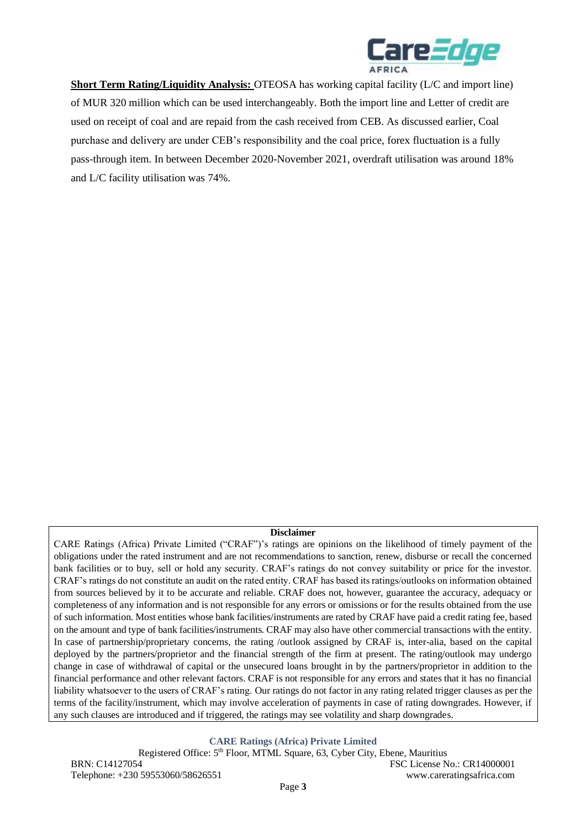

**Short Term Rating/Liquidity Analysis:** OTEOSA has working capital facility (L/C and import line) of MUR 320 million which can be used interchangeably. Both the import line and Letter of credit are used on receipt of coal and are repaid from the cash received from CEB. As discussed earlier, Coal purchase and delivery are under CEB's responsibility and the coal price, forex fluctuation is a fully pass-through item. In between December 2020-November 2021, overdraft utilisation was around 18% and L/C facility utilisation was 74%.

#### **Disclaimer**

CARE Ratings (Africa) Private Limited ("CRAF")'s ratings are opinions on the likelihood of timely payment of the obligations under the rated instrument and are not recommendations to sanction, renew, disburse or recall the concerned bank facilities or to buy, sell or hold any security. CRAF's ratings do not convey suitability or price for the investor. CRAF's ratings do not constitute an audit on the rated entity. CRAF has based its ratings/outlooks on information obtained from sources believed by it to be accurate and reliable. CRAF does not, however, guarantee the accuracy, adequacy or completeness of any information and is not responsible for any errors or omissions or for the results obtained from the use of such information. Most entities whose bank facilities/instruments are rated by CRAF have paid a credit rating fee, based on the amount and type of bank facilities/instruments. CRAF may also have other commercial transactions with the entity. In case of partnership/proprietary concerns, the rating /outlook assigned by CRAF is, inter-alia, based on the capital deployed by the partners/proprietor and the financial strength of the firm at present. The rating/outlook may undergo change in case of withdrawal of capital or the unsecured loans brought in by the partners/proprietor in addition to the financial performance and other relevant factors. CRAF is not responsible for any errors and states that it has no financial liability whatsoever to the users of CRAF's rating. Our ratings do not factor in any rating related trigger clauses as per the terms of the facility/instrument, which may involve acceleration of payments in case of rating downgrades. However, if any such clauses are introduced and if triggered, the ratings may see volatility and sharp downgrades.

**CARE Ratings (Africa) Private Limited**

Registered Office: 5<sup>th</sup> Floor, MTML Square, 63, Cyber City, Ebene, Mauritius BRN: C14127054 FSC License No.: CR14000001 Telephone: +230 59553060/58626551 www.careratingsafrica.com